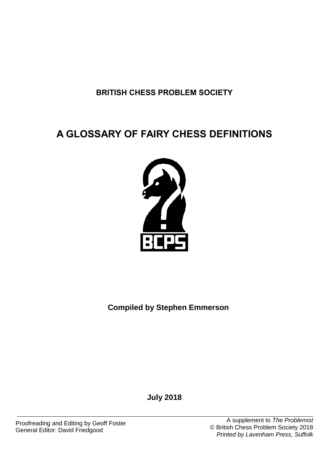**BRITISH CHESS PROBLEM SOCIETY**

# **A GLOSSARY OF FAIRY CHESS DEFINITIONS**



**Compiled by Stephen Emmerson**

**July 2018**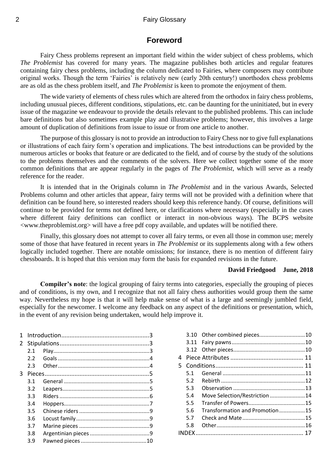### **Foreword**

Fairy Chess problems represent an important field within the wider subject of chess problems, which *The Problemist* has covered for many years. The magazine publishes both articles and regular features containing fairy chess problems, including the column dedicated to Fairies, where composers may contribute original works. Though the term 'Fairies' is relatively new (early 20th century!) unorthodox chess problems are as old as the chess problem itself, and *The Problemist* is keen to promote the enjoyment of them.

The wide variety of elements of chess rules which are altered from the orthodox in fairy chess problems, including unusual pieces, different conditions, stipulations, etc. can be daunting for the uninitiated, but in every issue of the magazine we endeavour to provide the details relevant to the published problems. This can include bare definitions but also sometimes example play and illustrative problems; however, this involves a large amount of duplication of definitions from issue to issue or from one article to another.

The purpose of this glossary is not to provide an introduction to Fairy Chess nor to give full explanations or illustrations of each fairy form's operation and implications. The best introductions can be provided by the numerous articles or books that feature or are dedicated to the field, and of course by the study of the solutions to the problems themselves and the comments of the solvers. Here we collect together some of the more common definitions that are appear regularly in the pages of *The Problemist*, which will serve as a ready reference for the reader.

It is intended that in the Originals column in *The Problemist* and in the various Awards, Selected Problems column and other articles that appear, fairy terms will not be provided with a definition where that definition can be found here, so interested readers should keep this reference handy. Of course, definitions will continue to be provided for terms not defined here, or clarifications where necessary (especially in the cases where different fairy definitions can conflict or interact in non-obvious ways). The BCPS website <www.theproblemist.org> will have a free pdf copy available, and updates will be notified there.

Finally, this glossary does not attempt to cover all fairy terms, or even all those in common use; merely some of those that have featured in recent years in *The Problemist* or its supplements along with a few others logically included together. There are notable omissions; for instance, there is no mention of different fairy chessboards. It is hoped that this version may form the basis for expanded revisions in the future.

#### **David Friedgood June, 2018**

**Compiler's note**: the logical grouping of fairy terms into categories, especially the grouping of pieces and of conditions, is my own, and I recognize that not all fairy chess authorities would group them the same way. Nevertheless my hope is that it will help make sense of what is a large and seemingly jumbled field, especially for the newcomer. I welcome any feedback on any aspect of the definitions or presentation, which, in the event of any revision being undertaken, would help improve it.

| 1              |               |  |  |
|----------------|---------------|--|--|
| $\overline{2}$ |               |  |  |
|                | 2.1           |  |  |
|                | $2.2^{\circ}$ |  |  |
|                | 2.3           |  |  |
| 3              |               |  |  |
|                | 3.1           |  |  |
|                | 3.2           |  |  |
|                | 3.3           |  |  |
|                | 3.4           |  |  |
|                | 3.5           |  |  |
|                | 3.6           |  |  |
|                | 3.7           |  |  |
|                | 3.8           |  |  |
|                | 3.9           |  |  |
|                |               |  |  |

| 4  |     |                                |  |  |  |
|----|-----|--------------------------------|--|--|--|
| 5. |     |                                |  |  |  |
|    | 5.1 |                                |  |  |  |
|    | 5.2 |                                |  |  |  |
|    | 5.3 |                                |  |  |  |
|    | 5.4 | Move Selection/Restriction 14  |  |  |  |
|    | 5.5 |                                |  |  |  |
|    | 5.6 | Transformation and Promotion15 |  |  |  |
|    | 5.7 |                                |  |  |  |
|    | 5.8 |                                |  |  |  |
|    |     |                                |  |  |  |
|    |     |                                |  |  |  |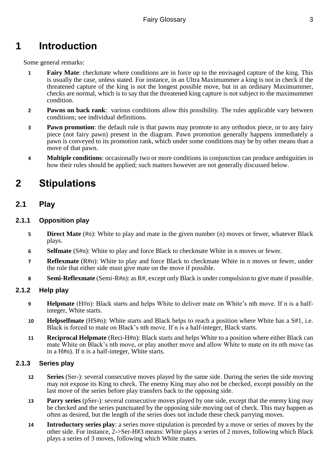# <span id="page-2-0"></span>**1 Introduction**

Some general remarks:

- **1 Fairy Mate**: checkmate where conditions are in force up to the envisaged capture of the king. This is usually the case, unless stated. For instance, in an Ultra Maximummer a king is not in check if the threatened capture of the king is not the longest possible move, but in an ordinary Maximummer, checks are normal, which is to say that the threatened king capture is not subject to the maximummer condition.
- **2 Pawns on back rank**: various conditions allow this possibility. The rules applicable vary between conditions; see individual definitions.
- **3 Pawn promotion**: the default rule is that pawns may promote to any orthodox piece, or to any fairy piece (not fairy pawn) present in the diagram. Pawn promotion generally happens immediately a pawn is conveyed to its promotion rank, which under some conditions may be by other means than a move of that pawn.
- **4 Multiple conditions**: occasionally two or more conditions in conjunction can produce ambiguities in how their rules should be applied; such matters however are not generally discussed below.

# <span id="page-2-1"></span>**2 Stipulations**

# <span id="page-2-2"></span>**2.1 Play**

### **2.1.1 Opposition play**

- **5 Direct Mate** (#n): White to play and mate in the given number (n) moves or fewer, whatever Black plays.
- **6 Selfmate** (S#n): White to play and force Black to checkmate White in n moves or fewer.
- **7 Reflexmate** (R#n): White to play and force Black to checkmate White in n moves or fewer, under the rule that either side must give mate on the move if possible.
- **8 Semi-Reflexmate** (Semi-R#n): as R#, except only Black is under compulsion to give mate if possible.

#### **2.1.2 Help play**

- **9 Helpmate** (H#n): Black starts and helps White to deliver mate on White's nth move. If n is a halfinteger, White starts.
- **10 Helpselfmate** (HS#n): White starts and Black helps to reach a position where White has a S#1, i.e. Black is forced to mate on Black's nth move. If n is a half-integer, Black starts.
- **11 Reciprocal Helpmate** (Reci-H#n): Black starts and helps White to a position where either Black can mate White on Black's nth move, or play another move and allow White to mate on its nth move (as in a H#n). If n is a half-integer, White starts.

#### **2.1.3 Series play**

- **12 Series** (Ser-): several consecutive moves played by the same side. During the series the side moving may not expose its King to check. The enemy King may also not be checked, except possibly on the last move of the series before play transfers back to the opposing side.
- **13 Parry series** (pSer-): several consecutive moves played by one side, except that the enemy king may be checked and the series punctuated by the opposing side moving out of check. This may happen as often as desired, but the length of the series does not include these check parrying moves.
- **14 Introductory series play**: a series move stipulation is preceded by a move or series of moves by the other side. For instance, 2->Ser-H#3 means: White plays a series of 2 moves, following which Black plays a series of 3 moves, following which White mates.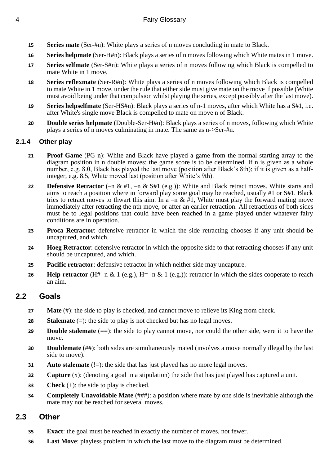- **15 Series mate** (Ser-#n): White plays a series of n moves concluding in mate to Black.
- **16 Series helpmate** (Ser-H#n): Black plays a series of n moves following which White mates in 1 move.
- **17 Series selfmate** (Ser-S#n): White plays a series of n moves following which Black is compelled to mate White in 1 move.
- **18 Series reflexmate** (Ser-R#n): White plays a series of n moves following which Black is compelled to mate White in 1 move, under the rule that either side must give mate on the move if possible (White must avoid being under that compulsion whilst playing the series, except possibly after the last move).
- **19 Series helpselfmate** (Ser-HS#n): Black plays a series of n-1 moves, after which White has a S#1, i.e. after White's single move Black is compelled to mate on move n of Black.
- **20 Double series helpmate** (Double-Ser-H#n): Black plays a series of n moves, following which White plays a series of n moves culminating in mate. The same as n->Ser-#n.

# **2.1.4 Other play**

- **21 Proof Game** (PG n): White and Black have played a game from the normal starting array to the diagram position in n double moves: the game score is to be determined. If n is given as a whole number, e.g. 8.0, Black has played the last move (position after Black's 8th); if it is given as a halfinteger, e.g. 8.5, White moved last (position after White's 9th).
- **22 Defensive Retractor** (–n & #1, –n & S#1 (e.g.)): White and Black retract moves. White starts and aims to reach a position where in forward play some goal may be reached, usually #1 or S#1. Black tries to retract moves to thwart this aim. In a –n &  $\frac{3}{2}$ . White must play the forward mating move immediately after retracting the nth move, or after an earlier retraction. All retractions of both sides must be to legal positions that could have been reached in a game played under whatever fairy conditions are in operation.
- **23 Proca Retractor**: defensive retractor in which the side retracting chooses if any unit should be uncaptured, and which.
- **24 Hoeg Retractor**: defensive retractor in which the opposite side to that retracting chooses if any unit should be uncaptured, and which.
- **25 Pacific retractor**: defensive retractor in which neither side may uncapture.
- **26 Help retractor** (H# -n & 1 (e.g.), H= -n & 1 (e.g.)): retractor in which the sides cooperate to reach an aim.

# <span id="page-3-0"></span>**2.2 Goals**

- **27 Mate** (#): the side to play is checked, and cannot move to relieve its King from check.
- **28 Stalemate**  $(=)$ : the side to play is not checked but has no legal moves.
- **29 Double stalemate**  $(==)$ : the side to play cannot move, nor could the other side, were it to have the move.
- **30 Doublemate** (##): both sides are simultaneously mated (involves a move normally illegal by the last side to move).
- **31 Auto stalemate** (!=): the side that has just played has no more legal moves.
- **32 Capture** (x): (denoting a goal in a stipulation) the side that has just played has captured a unit.
- **33 Check** (+): the side to play is checked.
- **34 Completely Unavoidable Mate** (###): a position where mate by one side is inevitable although the mate may not be reached for several moves.

# <span id="page-3-1"></span>**2.3 Other**

- **35 Exact**: the goal must be reached in exactly the number of moves, not fewer.
- **36 Last Move**: playless problem in which the last move to the diagram must be determined.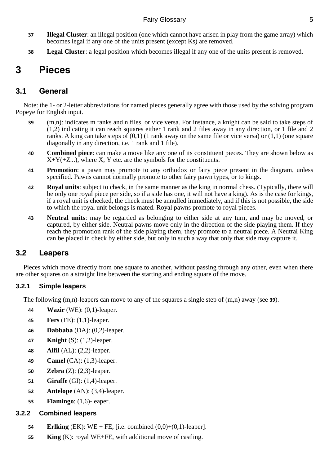- **37 Illegal Cluster**: an illegal position (one which cannot have arisen in play from the game array) which becomes legal if any one of the units present (except Ks) are removed.
- **38 Legal Cluster**: a legal position which becomes illegal if any one of the units present is removed.

# <span id="page-4-0"></span>**3 Pieces**

# <span id="page-4-1"></span>**3.1 General**

Note: the 1- or 2-letter abbreviations for named pieces generally agree with those used by the solving program Popeye for English input.

- <span id="page-4-3"></span>**39** (m,n): indicates m ranks and n files, or vice versa. For instance, a knight can be said to take steps of (1,2) indicating it can reach squares either 1 rank and 2 files away in any direction, or 1 file and 2 ranks. A king can take steps of  $(0,1)$  (1 rank away on the same file or vice versa) or  $(1,1)$  (one square diagonally in any direction, i.e. 1 rank and 1 file).
- **40 Combined piece**: can make a move like any one of its constituent pieces. They are shown below as  $X+Y(+Z...)$ , where X, Y etc. are the symbols for the constituents.
- **41 Promotion**: a pawn may promote to any orthodox or fairy piece present in the diagram, unless specified. Pawns cannot normally promote to other fairy pawn types, or to kings.
- **42 Royal units**: subject to check, in the same manner as the king in normal chess. (Typically, there will be only one royal piece per side, so if a side has one, it will not have a king). As is the case for kings, if a royal unit is checked, the check must be annulled immediately, and if this is not possible, the side to which the royal unit belongs is mated. Royal pawns promote to royal pieces.
- **43 Neutral units**: may be regarded as belonging to either side at any turn, and may be moved, or captured, by either side. Neutral pawns move only in the direction of the side playing them. If they reach the promotion rank of the side playing them, they promote to a neutral piece. A Neutral King can be placed in check by either side, but only in such a way that only that side may capture it.

# <span id="page-4-2"></span>**3.2 Leapers**

Pieces which move directly from one square to another, without passing through any other, even when there are other squares on a straight line between the starting and ending square of the move.

# **3.2.1 Simple leapers**

The following (m,n)-leapers can move to any of the squares a single step of (m,n) away (see **[39](#page-4-3)**).

- **44 Wazir** (WE): (0,1)-leaper.
- **45 Fers** (FE): (1,1)-leaper.
- **46 Dabbaba** (DA): (0,2)-leaper.
- **47 Knight** (S): (1,2)-leaper.
- **48 Alfil** (AL): (2,2)-leaper.
- **49 Camel** (CA): (1,3)-leaper.
- **50 Zebra** (Z): (2,3)-leaper.
- **51 Giraffe** (GI): (1,4)-leaper.
- **52 Antelope** (AN): (3,4)-leaper.
- **53 Flamingo**: (1,6)-leaper.

# **3.2.2 Combined leapers**

- **54 Erlking** (EK): WE + FE, [i.e. combined (0,0)+(0,1)-leaper].
- **55 King** (K): royal WE+FE, with additional move of castling.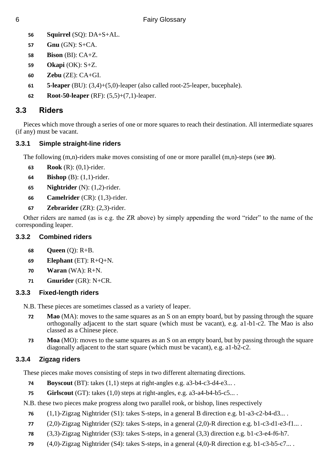- **Squirrel** (SQ): DA+S+AL.
- **Gnu** (GN): S+CA.
- **Bison** (BI): CA+Z.
- **Okapi** (OK): S+Z.
- **Zebu** (ZE): CA+GI.
- **5-leaper** (BU): (3,4)+(5,0)-leaper (also called root-25-leaper, bucephale).
- **Root-50-leaper** (RF): (5,5)+(7,1)-leaper.

# <span id="page-5-0"></span>**3.3 Riders**

Pieces which move through a series of one or more squares to reach their destination. All intermediate squares (if any) must be vacant.

# **3.3.1 Simple straight-line riders**

The following (m,n)-riders make moves consisting of one or more parallel (m,n)-steps (see **[39](#page-4-3)**).

- **Rook** (R): (0,1)-rider.
- **Bishop** (B): (1,1)-rider.
- **Nightrider** (N): (1,2)-rider.
- **Camelrider** (CR): (1,3)-rider.
- **Zebrarider** (ZR): (2,3)-rider.

Other riders are named (as is e.g. the ZR above) by simply appending the word "rider" to the name of the corresponding leaper.

# **3.3.2 Combined riders**

- **Queen** (Q): R+B.
- **Elephant** (ET): R+Q+N.
- **Waran** (WA): R+N.
- **Gnurider** (GR): N+CR.

# **3.3.3 Fixed-length riders**

N.B. These pieces are sometimes classed as a variety of leaper.

- **Mao** (MA): moves to the same squares as an S on an empty board, but by passing through the square orthogonally adjacent to the start square (which must be vacant), e.g. a1-b1-c2. The Mao is also classed as a Chinese piece.
- **Moa** (MO): moves to the same squares as an S on an empty board, but by passing through the square diagonally adjacent to the start square (which must be vacant), e.g. a1-b2-c2.

# **3.3.4 Zigzag riders**

These pieces make moves consisting of steps in two different alternating directions.

- **Boyscout** (BT): takes (1,1) steps at right-angles e.g. a3-b4-c3-d4-e3...
- **Girlscout** (GT): takes (1,0) steps at right-angles, e.g. a3-a4-b4-b5-c5... .

N.B. these two pieces make progress along two parallel rook, or bishop, lines respectively

- (1,1)-Zigzag Nightrider (S1): takes S-steps, in a general B direction e.g. b1-a3-c2-b4-d3... .
- (2,0)-Zigzag Nightrider (S2): takes S-steps, in a general (2,0)-R direction e.g. b1-c3-d1-e3-f1... .
- (3,3)-Zigzag Nightrider (S3): takes S-steps, in a general (3,3) direction e.g. b1-c3-e4-f6-h7.
- (4,0)-Zigzag Nightrider (S4): takes S-steps, in a general (4,0)-R direction e.g. b1-c3-b5-c7... .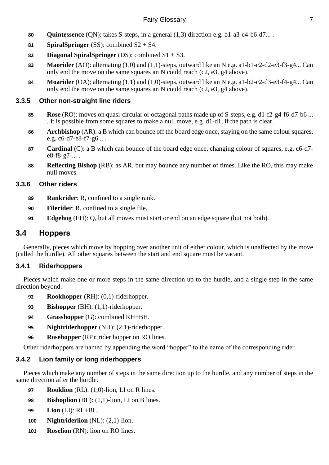- **80 Quintessence** (QN): takes S-steps, in a general (1,3) direction e.g. b1-a3-c4-b6-d7... .
- **81 SpiralSpringer** (SS): combined  $S2 + S4$ .
- **82 Diagonal SpiralSpringer** (DS): combined S1 + S3.
- **83 Maorider** (AO): alternating (1,0) and (1,1)-steps, outward like an N e.g. a1-b1-c2-d2-e3-f3-g4... Can only end the move on the same squares an N could reach (c2, e3, g4 above).
- **84 Moarider** (OA): alternating (1,1) and (1,0)-steps, outward like an N e.g. a1-b2-c2-d3-e3-f4-g4... Can only end the move on the same squares an N could reach (c2, e3, g4 above).

# **3.3.5 Other non-straight line riders**

- **85 Rose** (RO): moves on quasi-circular or octagonal paths made up of S-steps, e.g. d1-f2-g4-f6-d7-b6 ... . It is possible from some squares to make a null move, e.g. d1-d1, if the path is clear.
- **86 Archbishop** (AR): a B which can bounce off the board edge once, staying on the same colour squares, e.g. c6-d7-e8-f7-g6... .
- **87 Cardinal** (C): a B which can bounce of the board edge once, changing colour of squares, e.g. c6-d7 e8-f8-g7-... .
- **88 Reflecting Bishop** (RB): as AR, but may bounce any number of times. Like the RO, this may make null moves.

# **3.3.6 Other riders**

- **89 Rankrider**: R, confined to a single rank.
- **90 Filerider**: R, confined to a single file.
- **91 Edgehog** (EH): Q, but all moves must start or end on an edge square (but not both).

# <span id="page-6-0"></span>**3.4 Hoppers**

Generally, pieces which move by hopping over another unit of either colour, which is unaffected by the move (called the hurdle). All other squares between the start and end square must be vacant.

# **3.4.1 Riderhoppers**

Pieces which make one or more steps in the same direction up to the hurdle, and a single step in the same direction beyond.

- **92 Rookhopper** (RH): (0,1)-riderhopper.
- **93 Bishopper** (BH): (1,1)-riderhopper.
- **94 Grasshopper** (G): combined RH+BH.
- **95 Nightriderhopper** (NH): (2,1)-riderhopper.
- **96 Rosehopper** (RP): rider hopper on RO lines.

Other riderhoppers are named by appending the word "hopper" to the name of the corresponding rider.

# **3.4.2 Lion family or long riderhoppers**

Pieces which make any number of steps in the same direction up to the hurdle, and any number of steps in the same direction after the hurdle.

- **97 Rooklion** (RL): (1,0)-lion, LI on R lines.
- **98 Bishoplion** (BL): (1,1)-lion, LI on B lines.
- **99 Lion** (LI): RL+BL.
- **100 Nightriderlion** (NL): (2,1)-lion.
- **101 Roselion** (RN): lion on RO lines.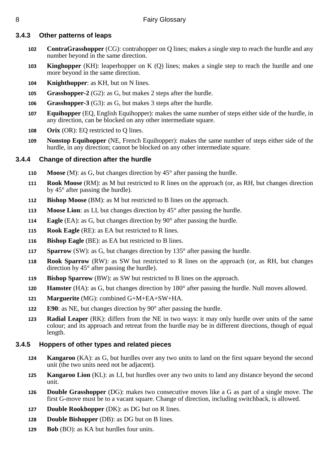# **3.4.3 Other patterns of leaps**

- **ContraGrasshopper** (CG): contrahopper on Q lines; makes a single step to reach the hurdle and any number beyond in the same direction.
- **Kinghopper** (KH): leaperhopper on K (Q) lines; makes a single step to reach the hurdle and one more beyond in the same direction.
- **Knighthopper**: as KH, but on N lines.
- **Grasshopper-2** (G2): as G, but makes 2 steps after the hurdle.
- **Grasshopper-3** (G3): as G, but makes 3 steps after the hurdle.
- **Equihopper** (EQ, English Equihopper): makes the same number of steps either side of the hurdle, in any direction, can be blocked on any other intermediate square.
- **Orix** (OR): EQ restricted to Q lines.
- **Nonstop Equihopper** (NE, French Equihopper): makes the same number of steps either side of the hurdle, in any direction; cannot be blocked on any other intermediate square.

# **3.4.4 Change of direction after the hurdle**

- **Moose** (M): as G, but changes direction by 45° after passing the hurdle.
- **Rook Moose** (RM): as M but restricted to R lines on the approach (or, as RH, but changes direction by 45° after passing the hurdle).
- **Bishop Moose** (BM): as M but restricted to B lines on the approach.
- **Moose Lion**: as LI, but changes direction by 45° after passing the hurdle.
- **Eagle** (EA): as G, but changes direction by 90° after passing the hurdle.
- **Rook Eagle** (RE): as EA but restricted to R lines.
- **Bishop Eagle** (BE): as EA but restricted to B lines.
- **Sparrow** (SW): as G, but changes direction by 135° after passing the hurdle.
- **Rook Sparrow** (RW): as SW but restricted to R lines on the approach (or, as RH, but changes direction by 45° after passing the hurdle).
- **Bishop Sparrow** (BW): as SW but restricted to B lines on the approach.
- **Hamster** (HA): as G, but changes direction by 180° after passing the hurdle. Null moves allowed.
- **Marguerite** (MG): combined G+M+EA+SW+HA.
- **E90**: as NE, but changes direction by 90° after passing the hurdle.
- **Radial Leaper** (RK): differs from the NE in two ways: it may only hurdle over units of the same colour; and its approach and retreat from the hurdle may be in different directions, though of equal length.

# **3.4.5 Hoppers of other types and related pieces**

- **Kangaroo** (KA): as G, but hurdles over any two units to land on the first square beyond the second unit (the two units need not be adjacent).
- **Kangaroo Lion** (KL): as LI, but hurdles over any two units to land any distance beyond the second unit.
- **Double Grasshopper** (DG): makes two consecutive moves like a G as part of a single move. The first G-move must be to a vacant square. Change of direction, including switchback, is allowed.
- **Double Rookhopper** (DK): as DG but on R lines.
- **Double Bishopper** (DB): as DG but on B lines.
- **Bob** (BO): as KA but hurdles four units.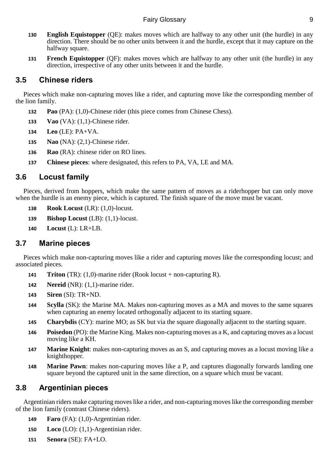- **130 English Equistopper** (QE): makes moves which are halfway to any other unit (the hurdle) in any direction. There should be no other units between it and the hurdle, except that it may capture on the halfway square.
- **131 French Equistopper** (QF): makes moves which are halfway to any other unit (the hurdle) in any direction, irrespective of any other units between it and the hurdle.

# <span id="page-8-0"></span>**3.5 Chinese riders**

Pieces which make non-capturing moves like a rider, and capturing move like the corresponding member of the lion family.

- **132 Pao** (PA): (1,0)-Chinese rider (this piece comes from Chinese Chess).
- **133 Vao** (VA): (1,1)-Chinese rider.
- **134 Leo** (LE): PA+VA.
- **135 Nao** (NA): (2,1)-Chinese rider.
- **136 Rao** (RA): chinese rider on RO lines.
- **137 Chinese pieces**: where designated, this refers to PA, VA, LE and MA.

# <span id="page-8-1"></span>**3.6 Locust family**

Pieces, derived from hoppers, which make the same pattern of moves as a riderhopper but can only move when the hurdle is an enemy piece, which is captured. The finish square of the move must be vacant.

- **138 Rook Locust** (LR): (1,0)-locust.
- **139 Bishop Locust** (LB): (1,1)-locust.
- **140 Locust** (L): LR+LB.

# <span id="page-8-2"></span>**3.7 Marine pieces**

Pieces which make non-capturing moves like a rider and capturing moves like the corresponding locust; and associated pieces.

- **141 Triton** (TR): (1,0)-marine rider (Rook locust + non-capturing R).
- **142 Nereid** (NR): (1,1)-marine rider.
- **143 Siren** (SI): TR+ND.
- **144 Scylla** (SK): the Marine MA. Makes non-capturing moves as a MA and moves to the same squares when capturing an enemy located orthogonally adjacent to its starting square.
- **145 Charybdis** (CY): marine MO; as SK but via the square diagonally adjacent to the starting square.
- **146 Poisedon** (PO): the Marine King. Makes non-capturing moves as a K, and capturing moves as a locust moving like a KH.
- **147 Marine Knight**: makes non-capturing moves as an S, and capturing moves as a locust moving like a knighthopper.
- **148 Marine Pawn**: makes non-capuring moves like a P, and captures diagonally forwards landing one square beyond the captured unit in the same direction, on a square which must be vacant.

# <span id="page-8-3"></span>**3.8 Argentinian pieces**

Argentinian riders make capturing moves like a rider, and non-capturing moves like the corresponding member of the lion family (contrast Chinese riders).

- **149 Faro** (FA): (1,0)-Argentinian rider.
- **150 Loco** (LO): (1,1)-Argentinian rider.
- **151 Senora** (SE): FA+LO.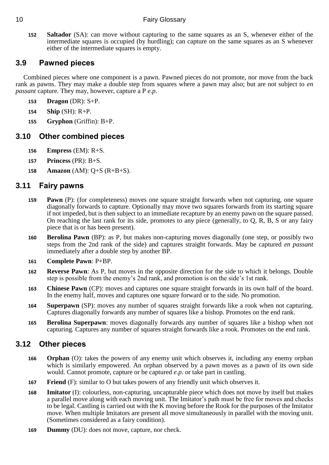**152 Saltador** (SA): can move without capturing to the same squares as an S, whenever either of the intermediate squares is occupied (by hurdling); can capture on the same squares as an S whenever either of the intermediate squares is empty.

# <span id="page-9-0"></span>**3.9 Pawned pieces**

Combined pieces where one component is a pawn. Pawned pieces do not promote, nor move from the back rank as pawns. They may make a double step from squares where a pawn may also; but are not subject to *en passant* capture. They may, however, capture a P *e.p.*

- **153 Dragon** (DR): S+P.
- **154 Ship** (SH): R+P.
- **155 Gryphon** (Griffin): B+P.

# <span id="page-9-1"></span>**3.10 Other combined pieces**

- **156 Empress** (EM): R+S.
- **157 Princess** (PR): B+S.
- **158 Amazon** (AM): Q+S (R+B+S).

# <span id="page-9-2"></span>**3.11 Fairy pawns**

- **159 Pawn** (P): (for completeness) moves one square straight forwards when not capturing, one square diagonally forwards to capture. Optionally may move two squares forwards from its starting square if not impeded, but is then subject to an immediate recapture by an enemy pawn on the square passed. On reaching the last rank for its side, promotes to any piece (generally, to Q, R, B, S or any fairy piece that is or has been present).
- **160 Berolina Pawn** (BP): as P, but makes non-capturing moves diagonally (one step, or possibly two steps from the 2nd rank of the side) and captures straight forwards. May be captured *en passant* immediately after a double step by another BP.
- **161 Complete Pawn**: P+BP.
- **162 Reverse Pawn**: As P, but moves in the opposite direction for the side to which it belongs. Double step is possible from the enemy's 2nd rank, and promotion is on the side's 1st rank.
- **163 Chinese Pawn** (CP): moves and captures one square straight forwards in its own half of the board. In the enemy half, moves and captures one square forward or to the side. No promotion.
- **164 Superpawn** (SP): moves any number of squares straight forwards like a rook when not capturing. Captures diagonally forwards any number of squares like a bishop. Promotes on the end rank.
- **165 Berolina Superpawn**: moves diagonally forwards any number of squares like a bishop when not capturing. Captures any number of squares straight forwards like a rook. Promotes on the end rank.

# <span id="page-9-3"></span>**3.12 Other pieces**

- **166 Orphan** (O): takes the powers of any enemy unit which observes it, including any enemy orphan which is similarly empowered. An orphan observed by a pawn moves as a pawn of its own side would. Cannot promote, capture or be captured *e.p.* or take part in castling.
- **167 Friend** (F): similar to O but takes powers of any friendly unit which observes it.
- **168 Imitator** (I): colourless, non-capturing, uncapturable piece which does not move by itself but makes a parallel move along with each moving unit. The Imitator's path must be free for moves and checks to be legal. Castling is carried out with the K moving before the Rook for the purposes of the Imitator move. When multiple Imitators are present all move simultaneously in parallel with the moving unit. (Sometimes considered as a fairy condition).
- **169 Dummy** (DU): does not move, capture, nor check.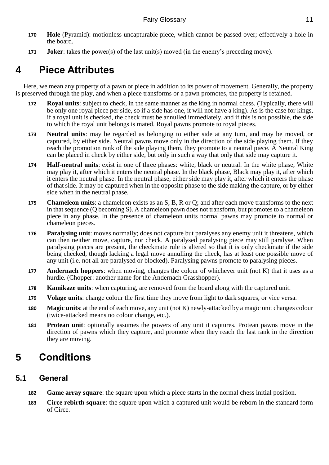- **170 Hole** (Pyramid): motionless uncapturable piece, which cannot be passed over; effectively a hole in the board.
- **171 Joker**: takes the power(s) of the last unit(s) moved (in the enemy's preceding move).

# <span id="page-10-0"></span>**4 Piece Attributes**

Here, we mean any property of a pawn or piece in addition to its power of movement. Generally, the property is preserved through the play, and when a piece transforms or a pawn promotes, the property is retained.

- **172 Royal units**: subject to check, in the same manner as the king in normal chess. (Typically, there will be only one royal piece per side, so if a side has one, it will not have a king). As is the case for kings, if a royal unit is checked, the check must be annulled immediately, and if this is not possible, the side to which the royal unit belongs is mated. Royal pawns promote to royal pieces.
- **173 Neutral units**: may be regarded as belonging to either side at any turn, and may be moved, or captured, by either side. Neutral pawns move only in the direction of the side playing them. If they reach the promotion rank of the side playing them, they promote to a neutral piece. A Neutral King can be placed in check by either side, but only in such a way that only that side may capture it.
- **174 Half-neutral units**: exist in one of three phases: white, black or neutral. In the white phase, White may play it, after which it enters the neutral phase. In the black phase, Black may play it, after which it enters the neutral phase. In the neutral phase, either side may play it, after which it enters the phase of that side. It may be captured when in the opposite phase to the side making the capture, or by either side when in the neutral phase.
- **175 Chameleon units**: a chameleon exists as an S, B, R or Q; and after each move transforms to the next in that sequence (Q becoming S). A chameleon pawn does not transform, but promotes to a chameleon piece in any phase. In the presence of chameleon units normal pawns may promote to normal or chameleon pieces.
- **176 Paralysing unit**: moves normally; does not capture but paralyses any enemy unit it threatens, which can then neither move, capture, nor check. A paralysed paralysing piece may still paralyse. When paralysing pieces are present, the checkmate rule is altered so that it is only checkmate if the side being checked, though lacking a legal move annulling the check, has at least one possible move of any unit (i.e. not all are paralysed or blocked). Paralysing pawns promote to paralysing pieces.
- **177 Andernach hoppers**: when moving, changes the colour of whichever unit (not K) that it uses as a hurdle. (Chopper: another name for the Andernach Grasshopper).
- **178 Kamikaze units**: when capturing, are removed from the board along with the captured unit.
- **179 Volage units**: change colour the first time they move from light to dark squares, or vice versa.
- **180 Magic units**: at the end of each move, any unit (not K) newly-attacked by a magic unit changes colour (twice-attacked means no colour change, etc.).
- **181 Protean unit**: optionally assumes the powers of any unit it captures. Protean pawns move in the direction of pawns which they capture, and promote when they reach the last rank in the direction they are moving.

# <span id="page-10-1"></span>**5 Conditions**

# <span id="page-10-2"></span>**5.1 General**

- **182 Game array square**: the square upon which a piece starts in the normal chess initial position.
- **183 Circe rebirth square**: the square upon which a captured unit would be reborn in the standard form of Circe.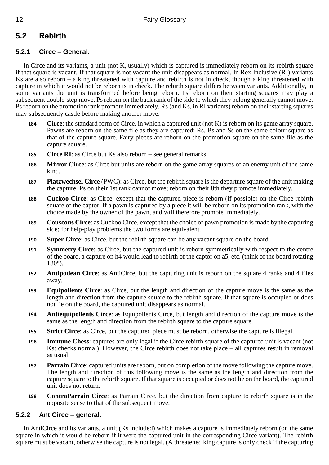# <span id="page-11-0"></span>**5.2 Rebirth**

# **5.2.1 Circe – General.**

In Circe and its variants, a unit (not K, usually) which is captured is immediately reborn on its rebirth square if that square is vacant. If that square is not vacant the unit disappears as normal. In Rex Inclusive (RI) variants Ks are also reborn – a king threatened with capture and rebirth is not in check, though a king threatened with capture in which it would not be reborn is in check. The rebirth square differs between variants. Additionally, in some variants the unit is transformed before being reborn. Ps reborn on their starting squares may play a subsequent double-step move. Ps reborn on the back rank of the side to which they belong generally cannot move. Ps reborn on the promotion rank promote immediately. Rs (and Ks, in RI variants) reborn on their starting squares may subsequently castle before making another move.

- **184 Circe**: the standard form of Circe, in which a captured unit (not K) is reborn on its game array square. Pawns are reborn on the same file as they are captured; Rs, Bs and Ss on the same colour square as that of the capture square. Fairy pieces are reborn on the promotion square on the same file as the capture square.
- **185 Circe RI**: as Circe but Ks also reborn see general remarks.
- **186 Mirror Circe**: as Circe but units are reborn on the game array squares of an enemy unit of the same kind.
- **187 Platzwechsel Circe** (PWC): as Circe, but the rebirth square is the departure square of the unit making the capture. Ps on their 1st rank cannot move; reborn on their 8th they promote immediately.
- **188 Cuckoo Circe**: as Circe, except that the captured piece is reborn (if possible) on the Circe rebirth square of the captor. If a pawn is captured by a piece it will be reborn on its promotion rank, with the choice made by the owner of the pawn, and will therefore promote immediately.
- **189 Couscous Circe**: as Cuckoo Circe, except that the choice of pawn promotion is made by the capturing side; for help-play problems the two forms are equivalent.
- **190 Super Circe**: as Circe, but the rebirth square can be any vacant square on the board.
- **191 Symmetry Circe**: as Circe, but the captured unit is reborn symmetrically with respect to the centre of the board, a capture on h4 would lead to rebirth of the captor on a5, etc. (think of the board rotating 180°).
- **192 Antipodean Circe**: as AntiCirce, but the capturing unit is reborn on the square 4 ranks and 4 files away.
- **193 Equipollents Circe**: as Circe, but the length and direction of the capture move is the same as the length and direction from the capture square to the rebirth square. If that square is occupied or does not lie on the board, the captured unit disappears as normal.
- **194 Antiequipollents Circe**: as Equipollents Circe, but length and direction of the capture move is the same as the length and direction from the rebirth square to the capture square.
- **195 Strict Circe**: as Circe, but the captured piece must be reborn, otherwise the capture is illegal.
- **196 Immune Chess**: captures are only legal if the Circe rebirth square of the captured unit is vacant (not Ks: checks normal). However, the Circe rebirth does not take place – all captures result in removal as usual.
- **197 Parrain Circe**: captured units are reborn, but on completion of the move following the capture move. The length and direction of this following move is the same as the length and direction from the capture square to the rebirth square. If that square is occupied or does not lie on the board, the captured unit does not return.
- **198 ContraParrain Circe**: as Parrain Circe, but the direction from capture to rebirth square is in the opposite sense to that of the subsequent move.

# **5.2.2 AntiCirce – general.**

In AntiCirce and its variants, a unit (Ks included) which makes a capture is immediately reborn (on the same square in which it would be reborn if it were the captured unit in the corresponding Circe variant). The rebirth square must be vacant, otherwise the capture is not legal. (A threatened king capture is only check if the capturing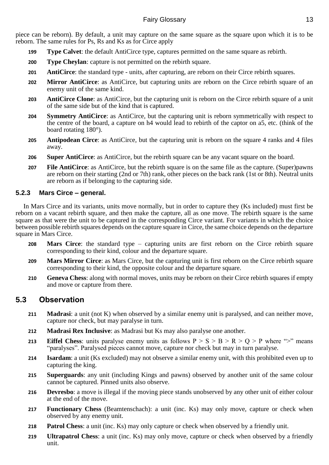piece can be reborn). By default, a unit may capture on the same square as the square upon which it is to be reborn. The same rules for Ps, Rs and Ks as for Circe apply

- **199 Type Calvet**: the default AntiCirce type, captures permitted on the same square as rebirth.
- **200 Type Cheylan**: capture is not permitted on the rebirth square.
- **201 AntiCirce**: the standard type units, after capturing, are reborn on their Circe rebirth squares.
- **202 Mirror AntiCirce**: as AntiCirce, but capturing units are reborn on the Circe rebirth square of an enemy unit of the same kind.
- **203 AntiCirce Clone**: as AntiCirce, but the capturing unit is reborn on the Circe rebirth square of a unit of the same side but of the kind that is captured.
- **204 Symmetry AntiCirce**: as AntiCirce, but the capturing unit is reborn symmetrically with respect to the centre of the board, a capture on h4 would lead to rebirth of the captor on a5, etc. (think of the board rotating 180°).
- **205 Antipodean Circe**: as AntiCirce, but the capturing unit is reborn on the square 4 ranks and 4 files away.
- **206 Super AntiCirce**: as AntiCirce, but the rebirth square can be any vacant square on the board.
- **207 File AntiCirce**: as AntiCirce, but the rebirth square is on the same file as the capture. (Super)pawns are reborn on their starting (2nd or 7th) rank, other pieces on the back rank (1st or 8th). Neutral units are reborn as if belonging to the capturing side.

### **5.2.3 Mars Circe – general.**

In Mars Circe and its variants, units move normally, but in order to capture they (Ks included) must first be reborn on a vacant rebirth square, and then make the capture, all as one move. The rebirth square is the same square as that were the unit to be captured in the corresponding Circe variant. For variants in which the choice between possible rebirth squares depends on the capture square in Circe, the same choice depends on the departure square in Mars Circe.

- **208 Mars Circe**: the standard type capturing units are first reborn on the Circe rebirth square corresponding to their kind, colour and the departure square.
- **209 Mars Mirror Circe**: as Mars Circe, but the capturing unit is first reborn on the Circe rebirth square corresponding to their kind, the opposite colour and the departure square.
- **210 Geneva Chess**: along with normal moves, units may be reborn on their Circe rebirth squares if empty and move or capture from there.

# <span id="page-12-0"></span>**5.3 Observation**

- **211 Madrasi**: a unit (not K) when observed by a similar enemy unit is paralysed, and can neither move, capture nor check, but may paralyse in turn.
- **212 Madrasi Rex Inclusive**: as Madrasi but Ks may also paralyse one another.
- **213 Eiffel Chess**: units paralyse enemy units as follows  $P > S > B > R > Q > P$  where ">" means "paralyses". Paralysed pieces cannot move, capture nor check but may in turn paralyse.
- **214 Isardam**: a unit (Ks excluded) may not observe a similar enemy unit, with this prohibited even up to capturing the king.
- **215 Superguards**: any unit (including Kings and pawns) observed by another unit of the same colour cannot be captured. Pinned units also observe.
- **216 Devresbo**: a move is illegal if the moving piece stands unobserved by any other unit of either colour at the end of the move.
- **217 Functionary Chess** (Beamtenschach): a unit (inc. Ks) may only move, capture or check when observed by any enemy unit.
- **218 Patrol Chess**: a unit (inc. Ks) may only capture or check when observed by a friendly unit.
- **219 Ultrapatrol Chess**: a unit (inc. Ks) may only move, capture or check when observed by a friendly unit.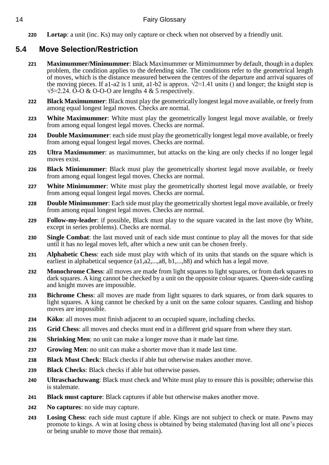**220 Lortap**: a unit (inc. Ks) may only capture or check when not observed by a friendly unit.

# <span id="page-13-0"></span>**5.4 Move Selection/Restriction**

- **221 Maximummer/Minimummer**: Black Maximummer or Mimimummer by default, though in a duplex problem, the condition applies to the defending side. The conditions refer to the geometrical length of moves, which is the distance measured between the centres of the departure and arrival squares of the moving pieces. If a1-a2 is 1 unit, a1-b2 is approx.  $\sqrt{2}$ ≈1.41 units () and longer; the knight step is  $\sqrt{5}$ ≈2.24. O-O & O-O-O are lengths 4 & 5 respectively.
- **222 Black Maximummer**: Black must play the geometrically longest legal move available, or freely from among equal longest legal moves. Checks are normal.
- **223 White Maximummer**: White must play the geometrically longest legal move available, or freely from among equal longest legal moves. Checks are normal.
- **224 Double Maximummer**: each side must play the geometrically longest legal move available, or freely from among equal longest legal moves. Checks are normal.
- **225 Ultra Maximummer**: as maximummer, but attacks on the king are only checks if no longer legal moves exist.
- **226 Black Minimummer**: Black must play the geometrically shortest legal move available, or freely from among equal longest legal moves. Checks are normal.
- **227 White Minimummer**: White must play the geometrically shortest legal move available, or freely from among equal longest legal moves. Checks are normal.
- **228 Double Minimummer**: Each side must play the geometrically shortest legal move available, or freely from among equal longest legal moves. Checks are normal.
- **229 Follow-my-leader**: if possible, Black must play to the square vacated in the last move (by White, except in series problems). Checks are normal.
- **230 Single Combat**: the last moved unit of each side must continue to play all the moves for that side until it has no legal moves left, after which a new unit can be chosen freely.
- **231 Alphabetic Chess**: each side must play with which of its units that stands on the square which is earliest in alphabetical sequence  $(a1,a2,...,a8, b1,...,h8)$  and which has a legal move.
- **232 Monochrome Chess:** all moves are made from light squares to light squares, or from dark squares to dark squares. A king cannot be checked by a unit on the opposite colour squares. Queen-side castling and knight moves are impossible.
- **233 Bichrome Chess**: all moves are made from light squares to dark squares, or from dark squares to light squares. A king cannot be checked by a unit on the same colour squares. Castling and bishop moves are impossible.
- **234 Köko**: all moves must finish adjacent to an occupied square, including checks.
- **235 Grid Chess**: all moves and checks must end in a different grid square from where they start.
- **236 Shrinking Men**: no unit can make a longer move than it made last time.
- **237 Growing Men**: no unit can make a shorter move than it made last time.
- **238 Black Must Check**: Black checks if able but otherwise makes another move.
- **239 Black Checks**: Black checks if able but otherwise passes.
- **240 Ultraschachzwang**: Black must check and White must play to ensure this is possible; otherwise this is stalemate.
- **241 Black must capture**: Black captures if able but otherwise makes another move.
- **242 No captures**: no side may capture.
- **243 Losing Chess**: each side must capture if able. Kings are not subject to check or mate. Pawns may promote to kings. A win at losing chess is obtained by being stalemated (having lost all one's pieces or being unable to move those that remain).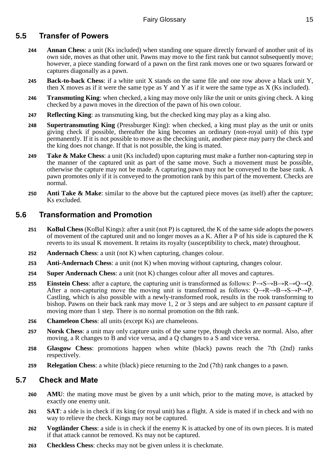# <span id="page-14-0"></span>**5.5 Transfer of Powers**

- **244 Annan Chess**: a unit (Ks included) when standing one square directly forward of another unit of its own side, moves as that other unit. Pawns may move to the first rank but cannot subsequently move; however, a piece standing forward of a pawn on the first rank moves one or two squares forward or captures diagonally as a pawn.
- **245 Back-to-back Chess**: if a white unit X stands on the same file and one row above a black unit Y, then X moves as if it were the same type as Y and Y as if it were the same type as X (Ks included).
- **246 Transmuting King**: when checked, a king may move only like the unit or units giving check. A king checked by a pawn moves in the direction of the pawn of his own colour.
- **247 Reflecting King**: as transmuting king, but the checked king may play as a king also.
- **248 Supertransmuting King** (Pressburger King): when checked, a king must play as the unit or units giving check if possible, thereafter the king becomes an ordinary (non-royal unit) of this type permanently. If it is not possible to move as the checking unit, another piece may parry the check and the king does not change. If that is not possible, the king is mated.
- **249 Take & Make Chess**: a unit (Ks included) upon capturing must make a further non-capturing step in the manner of the captured unit as part of the same move. Such a movement must be possible, otherwise the capture may not be made. A capturing pawn may not be conveyed to the base rank. A pawn promotes only if it is conveyed to the promotion rank by this part of the movement. Checks are normal.
- **250 Anti Take & Make**: similar to the above but the captured piece moves (as itself) after the capture; Ks excluded.

# <span id="page-14-1"></span>**5.6 Transformation and Promotion**

- **251 KoBul Chess** (KoBul Kings): after a unit (not P) is captured, the K of the same side adopts the powers of movement of the captured unit and no longer moves as a K. After a P of his side is captured the K reverts to its usual K movement. It retains its royalty (susceptibility to check, mate) throughout.
- **252 Andernach Chess**: a unit (not K) when capturing, changes colour.
- **253 Anti-Andernach Chess**: a unit (not K) when moving without capturing, changes colour.
- **254 Super Andernach Chess**: a unit (not K) changes colour after all moves and captures.
- **255 Einstein Chess**: after a capture, the capturing unit is transformed as follows: P→S→B→R→O→O. After a non-capturing move the moving unit is transformed as follows:  $Q \rightarrow R \rightarrow B \rightarrow S \rightarrow P \rightarrow P$ . Castling, which is also possible with a newly-transformed rook, results in the rook transforming to bishop. Pawns on their back rank may move 1, 2 or 3 steps and are subject to *en passant* capture if moving more than 1 step. There is no normal promotion on the 8th rank.
- **256 Chameleon Chess**: all units (except Ks) are chameleons.
- **257 Norsk Chess**: a unit may only capture units of the same type, though checks are normal. Also, after moving, a R changes to B and vice versa, and a Q changes to a S and vice versa.
- **258 Glasgow Chess**: promotions happen when white (black) pawns reach the 7th (2nd) ranks respectively.
- **259 Relegation Chess**: a white (black) piece returning to the 2nd (7th) rank changes to a pawn.

# <span id="page-14-2"></span>**5.7 Check and Mate**

- **260 AMU**: the mating move must be given by a unit which, prior to the mating move, is attacked by exactly one enemy unit.
- **261 SAT**: a side is in check if its king (or royal unit) has a flight. A side is mated if in check and with no way to relieve the check. Kings may not be captured.
- **262 Vogtländer Chess**: a side is in check if the enemy K is attacked by one of its own pieces. It is mated if that attack cannot be removed. Ks may not be captured.
- **263 Checkless Chess**: checks may not be given unless it is checkmate.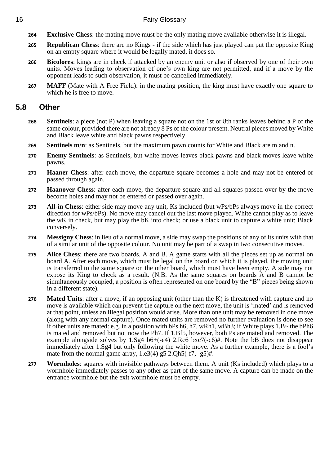### 16 Fairy Glossary

- **264 Exclusive Chess**: the mating move must be the only mating move available otherwise it is illegal.
- **265 Republican Chess**: there are no Kings if the side which has just played can put the opposite King on an empty square where it would be legally mated, it does so.
- **266 Bicolores**: kings are in check if attacked by an enemy unit or also if observed by one of their own units. Moves leading to observation of one's own king are not permitted, and if a move by the opponent leads to such observation, it must be cancelled immediately.
- **267 MAFF** (Mate with A Free Field): in the mating position, the king must have exactly one square to which he is free to move.

# <span id="page-15-0"></span>**5.8 Other**

- **268 Sentinels**: a piece (not P) when leaving a square not on the 1st or 8th ranks leaves behind a P of the same colour, provided there are not already 8 Ps of the colour present. Neutral pieces moved by White and Black leave white and black pawns respectively.
- **269 Sentinels m/n**: as Sentinels, but the maximum pawn counts for White and Black are m and n.
- **270 Enemy Sentinels**: as Sentinels, but white moves leaves black pawns and black moves leave white pawns.
- **271 Haaner Chess**: after each move, the departure square becomes a hole and may not be entered or passed through again.
- **272 Haanover Chess**: after each move, the departure square and all squares passed over by the move become holes and may not be entered or passed over again.
- **273 All-in Chess**: either side may move any unit, Ks included (but wPs/bPs always move in the correct direction for wPs/bPs). No move may cancel out the last move played. White cannot play as to leave the wK in check, but may play the bK into check; or use a black unit to capture a white unit; Black conversely.
- **274 Messigny Chess**: in lieu of a normal move, a side may swap the positions of any of its units with that of a similar unit of the opposite colour. No unit may be part of a swap in two consecutive moves.
- **275 Alice Chess**: there are two boards, A and B. A game starts with all the pieces set up as normal on board A. After each move, which must be legal on the board on which it is played, the moving unit is transferred to the same square on the other board, which must have been empty. A side may not expose its King to check as a result. (N.B. As the same squares on boards A and B cannot be simultaneously occupied, a position is often represented on one board by the "B" pieces being shown in a different state).
- **276 Mated Units**: after a move, if an opposing unit (other than the K) is threatened with capture and no move is available which can prevent the capture on the next move, the unit is 'mated' and is removed at that point, unless an illegal position would arise. More than one unit may be removed in one move (along with any normal capture). Once mated units are removed no further evaluation is done to see if other units are mated: e.g. in a position with bPs h6, h7, wRh1, wBh3; if White plays 1.B~ the bPh6 is mated and removed but not now the Ph7. If 1.Bf5, however, both Ps are mated and removed. The example alongside solves by 1.Sg4 b6+(-e4) 2.Rc6 bxc7(-c6)#. Note the bB does not disappear immediately after 1.Sg4 but only following the white move. As a further example, there is a fool's mate from the normal game array,  $1.03(4)$  g5  $2.0h5(-17, -g5)$ #.
- **277 Wormholes**: squares with invisible pathways between them. A unit (Ks included) which plays to a wormhole immediately passes to any other as part of the same move. A capture can be made on the entrance wormhole but the exit wormhole must be empty.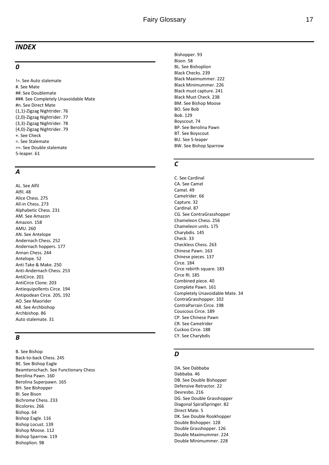#### <span id="page-16-0"></span>*INDEX*

#### *0*

!=. See Auto stalemate #. See Mate ##. See Doublemate ###. See Completely Unavoidable Mate #n. See Direct Mate (1,1) -Zigzag Nightrider. 76 (2,0) -Zigzag Nightrider. 77 (3,3) -Zigzag Nightrider. 78 (4,0) -Zigzag Nightrider. 7 9 +. See Check =. See Stalemate ==. See Double stalemate 5-leaper. 61

#### *A*

AL. See Alfil Alfil. 48 Alice Chess. 275 All -in Chess. 273 Alphabetic Chess. 231 AM. See Amazon Amazon. 158 AMU. 260 AN. See Antelope Andernach Chess. 252 Andernach hoppers. 177 Annan Chess. 244 Antelope. 52 Anti Take & Make. 250 Anti -Andernach Chess. 253 AntiCirce. 201 AntiCirce Clone. 203 Antiequipollents Circe. 194 Antipodean Circe. 205, 192 AO. See Maorider AR. See Archbishop Archbishop. 86 Auto stalemate. 31

#### *B*

B. See Bishop Back -to -back Chess. 245 BE. See Bishop Eagle Beamtenschach. See Functionary Chess Berolina Pawn. 160 Berolina Superpawn. 165 BH. See Bishopper BI. See Bison Bichrome Chess. 233 Bicolores. 266 Bishop. 64 Bishop Eagle. 116 Bishop Locust. 139 Bishop Moose. 11 2 Bishop Sparrow. 119 Bishoplion. 98

Bishopper. 93 Bison. 58 BL. See Bishoplion Black Checks. 239 Black Maximummer. 222 Black Minimummer. 226 Black must capture. 241 Black Must Check. 238 BM. See Bishop Moose BO. See Bob Bob. 129 Boyscout. 74 BP. See Berolina Pawn BT. See Boyscout BU. See 5 -leaper BW. See Bishop Sparrow

#### *C*

C. See Cardinal CA. See Camel Camel. 49 Camelrider. 66 Capture. 32 Cardinal. 87 CG. See ContraGrasshopper Chameleon Chess. 256 Chameleon units. 175 Charybdis. 145 Check. 33 Checkless Chess. 263 Chinese Pawn. 163 Chinese pieces. 137 Circe. 184 Circe rebirth square. 183 Circe RI. 185 Combined piece. 40 Complete Pawn. 161 Completely Unavoidable Mate. 34 ContraGrasshopper. 102 ContraParrain Circe. 198 Couscous Circe. 189 CP. See Chinese Pawn CR. See Camelrider Cuckoo Circe. 188 CY. See Charybdis

#### *D*

DA. See Dabbaba Dabbaba. 46 DB. See Double Bishopper Defensive Retractor. 22 Devresbo. 216 DG. See Double Grasshopper Diagonal SpiralSpringer. 82 Direct Mate. 5 DK. See Double Rookhopper Double Bishopper. 128 Double Grasshopper. 126 Double Maximummer. 224 Double Minimummer. 228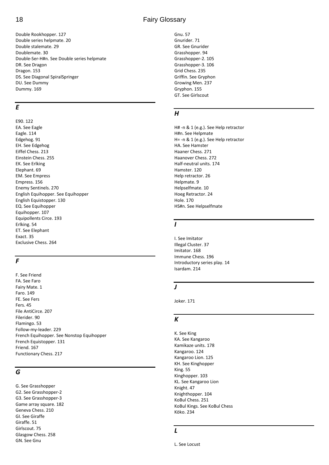Double Rookhopper. 127 Double series helpmate. 20 Double stalemate. 29 Doublemate. 30 Double-Ser-H#n. See Double series helpmate DR. See Dragon Dragon. 153 DS. See Diagonal SpiralSpringer DU. See Dummy Dummy. 169

#### *E*

E90. 122 EA. See Eagle Eagle. 114 Edgehog. 91 EH. See Edgehog Eiffel Chess. 213 Einstein Chess. 255 EK. See Erlking Elephant. 69 EM. See Empress Empress. 156 Enemy Sentinels. 270 English Equihopper. See Equihopper English Equistopper. 130 EQ. See Equihopper Equihopper. 107 Equipollents Circe. 193 Erlking. 54 ET. See Elephant Exact. 35 Exclusive Chess. 264

# *F*

F. See Friend FA. See Faro Fairy Mate. 1 Faro. 149 FE. See Fers Fers. 45 File AntiCirce. 207 Filerider. 90 Flamingo. 53 Follow-my-leader. 229 French Equihopper. See Nonstop Equihopper French Equistopper. 131 Friend. 167 Functionary Chess. 217

#### *G*

G. See Grasshopper G2. See Grasshopper-2 G3. See Grasshopper-3 Game array square. 182 Geneva Chess. 210 GI. See Giraffe Giraffe. 51 Girlscout. 75 Glasgow Chess. 258 GN. See Gnu

# 18 Fairy Glossary

Gnu. 57 Gnurider. 71 GR. See Gnurider Grasshopper. 94 Grasshopper-2. 105 Grasshopper-3. 106 Grid Chess. 235 Griffin. See Gryphon Growing Men. 237 Gryphon. 155 GT. See Girlscout

#### *H*

H# -n & 1 (e.g.). See Help retractor H#n. See Helpmate H= -n & 1 (e.g.). See Help retractor HA. See Hamster Haaner Chess. 271 Haanover Chess. 272 Half-neutral units. 174 Hamster. 120 Help retractor. 26 Helpmate. 9 Helpselfmate. 10 Hoeg Retractor. 24 Hole. 170 HS#n. See Helpselfmate

#### *I*

I. See Imitator Illegal Cluster. 37 Imitator. 168 Immune Chess. 196 Introductory series play. 14 Isardam. 214

#### *J*

Joker. 171

#### *K*

K. See King KA. See Kangaroo Kamikaze units. 178 Kangaroo. 124 Kangaroo Lion. 125 KH. See Kinghopper King. 55 Kinghopper. 103 KL. See Kangaroo Lion Knight. 47 Knighthopper. 104 KoBul Chess. 251 KoBul Kings. See KoBul Chess Köko. 234

#### *L*

L. See Locust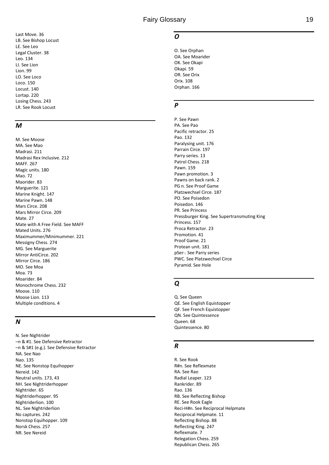Last Move. 36 LB. See Bishop Locust LE. See Leo Legal Cluster. 38 Leo. 134 LI. See Lion Lion. 99 LO. See Loc o Loco. 150 Locust. 140 Lortap. 220 Losing Chess. 243 LR. See Rook Locust

#### *M*

M. See Moose MA. See Mao Madrasi. 211 Madrasi Rex Inclusive. 212 MAFF. 267 Magic units. 180 Mao. 72 Maorider. 83 Marguerite. 121 Marine Knight. 147 Marine Pawn. 148 Mars Circe. 208 Mars Mirror Circe. 209 Mate. 27 Mate with A Free Field. See MAFF Mated Units. 276 Maximummer/Minimummer. 221 Messigny Chess. 274 MG. See Marguerite Mirror AntiCirce. 202 Mirror Circe. 186 MO. See Moa Moa. 73 Moarider. 84 Monochrome Chess. 232 Moose. 110 Moose Lion. 113 Multiple conditions. 4

#### *N*

N. See Nightrider –n & #1. See Defensive Retractor –n & S#1 (e.g.). See Defensive Retractor NA. See Nao Nao. 135 NE. See Nonstop Equihopper Nereid. 142 Neutral units. 173, 43 NH. See Nightriderhopper Nightrider. 65 Nightriderhopper. 95 Nightriderlion. 100 NL. See Nightriderlion No captures. 242 Nonstop Equihopper. 109 Norsk Chess. 257 NR. See Nereid

#### *O*

O. See Orphan OA. See Moarider OK. See Okapi Okapi. 59 OR. See Orix Orix. 108 Orphan. 166

#### *P*

P. See Pawn PA. See Pao Pacific retractor. 25 Pao. 132 Paralysing unit. 176 Parrain Circe. 197 Parry series. 13 Patrol Chess. 218 Pawn. 159 Pawn promotion. 3 Pawns on back rank. 2 PG n. See Proof Game Platzwechsel Circe. 187 PO. See Poisedon Poisedon. 146 PR. See Princess Pressburger King. See Supertransmuting King Princess. 157 Proca Retractor. 23 Promotion. 41 Proof Game. 21 Protean unit. 181 pSer -. See Parry series PWC. See Platzwechsel Circe Pyramid. See Hole

#### *Q*

Q. See Queen QE. See English Equistopper QF. See French Equistopper QN. See Quintessence Queen. 68 Quintessence. 80

#### *R*

R. See Rook R#n. See Reflexmate RA. See Rao Radial Leaper. 123 Rankrider. 89 Rao. 136 RB. See Reflecting Bishop RE. See Rook Eagle Reci -H#n. See Reciprocal Helpmate Reciprocal Helpmate. 11 Reflecting Bishop. 88 Reflecting King. 247 Reflexmate. 7 Relegation Chess. 259 Republican Chess. 265